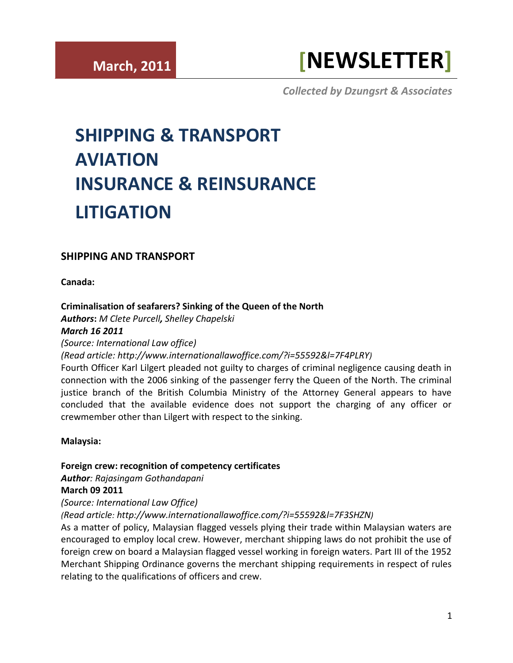# **SHIPPING AND TRANSPORT**

**Canada:**

# **[Criminalisation of seafarers? Sinking of the Queen of the North](http://www.internationallawoffice.com/?i=55592&l=7F4PLRY)**

*Authors***:** *M Clete Purcell, Shelley Chapelski March 16 2011*

*(Source: International Law office)*

*(Read article: [http://www.internationallawoffice.com/?i=55592&l=7F4PLRY\)](http://www.internationallawoffice.com/?i=55592&l=7F4PLRY)*

Fourth Officer Karl Lilgert pleaded not guilty to charges of criminal negligence causing death in connection with the 2006 sinking of the passenger ferry the Queen of the North. The criminal justice branch of the British Columbia Ministry of the Attorney General appears to have concluded that the available evidence does not support the charging of any officer or crewmember other than Lilgert with respect to the sinking.

# **Malaysia:**

# **[Foreign crew: recognition of competency certificates](http://www.internationallawoffice.com/?i=55592&l=7F3SHZN)**

*Author: [Rajasingam Gothandapani](http://www.internationallawoffice.com/?i=55592&l=7F3SJ09)* **March 09 2011**

# *(Source: International Law Office)*

*[\(Read article:](http://www.internationallawoffice.com/?i=55592&l=7F3SHZN) [http://www.internationallawoffice.com/?i=55592&l=7F3SHZN\)](http://www.internationallawoffice.com/?i=55592&l=7F3SHZN)*

As a matter of policy, Malaysian flagged vessels plying their trade within Malaysian waters are encouraged to employ local crew. However, merchant shipping laws do not prohibit the use of foreign crew on board a Malaysian flagged vessel working in foreign waters. Part III of the 1952 Merchant Shipping Ordinance governs the merchant shipping requirements in respect of rules relating to the qualifications of officers and crew.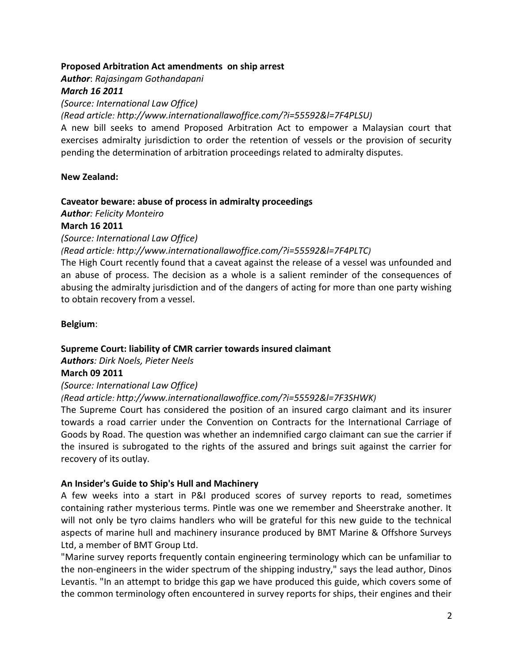## **Proposed Arbitration Act amendments [on ship arrest](http://www.internationallawoffice.com/?i=55592&l=7F4PLSU)**

*Author*: *[Rajasingam Gothandapani](http://www.internationallawoffice.com/?i=55592&l=7F4PLT0)*

# *March 16 2011*

*(Source: International Law Office)*

*[\(Read article:](http://www.internationallawoffice.com/?i=55592&l=7F4PLSU) [http://www.internationallawoffice.com/?i=55592&l=7F4PLSU\)](http://www.internationallawoffice.com/?i=55592&l=7F4PLSU)*

A new bill seeks to amend Proposed Arbitration Act to empower a Malaysian court that exercises admiralty jurisdiction to order the retention of vessels or the provision of security pending the determination of arbitration proceedings related to admiralty disputes.

## **New Zealand:**

## **[Caveator beware: abuse of process in admiralty proceedings](http://www.internationallawoffice.com/?i=55592&l=7F4PLTC)**

*Author: [Felicity Monteiro](http://www.internationallawoffice.com/?i=55592&l=7F4PLTW)*

## **March 16 2011**

*(Source: International Law Office)* 

*[\(Read article:](http://www.internationallawoffice.com/?i=55592&l=7F4PLTC) [http://www.internationallawoffice.com/?i=55592&l=7F4PLTC\)](http://www.internationallawoffice.com/?i=55592&l=7F4PLTC)*

The High Court recently found that a caveat against the release of a vessel was unfounded and an abuse of process. The decision as a whole is a salient reminder of the consequences of abusing the admiralty jurisdiction and of the dangers of acting for more than one party wishing to obtain recovery from a vessel.

## **Belgium**:

# **[Supreme Court: liability of CMR carrier towards insured claimant](http://www.internationallawoffice.com/?i=55592&l=7F3SHWK)**

*Authors: [Dirk Noels,](http://www.internationallawoffice.com/?i=55592&l=7F3SHX3) [Pieter Neels](http://www.internationallawoffice.com/?i=55592&l=7F3SHXQ)*

# **March 09 2011**

# *(Source: International Law Office)*

*[\(Read article: http://www.internationallawoffice.com/?i=55592&l=7F3SHWK\)](http://www.internationallawoffice.com/?i=55592&l=7F3SHWK)*

The Supreme Court has considered the position of an insured cargo claimant and its insurer towards a road carrier under the Convention on Contracts for the International Carriage of Goods by Road. The question was whether an indemnified cargo claimant can sue the carrier if the insured is subrogated to the rights of the assured and brings suit against the carrier for recovery of its outlay.

#### **An Insider's Guide to Ship's Hull and Machinery**

A few weeks into a start in P&I produced scores of survey reports to read, sometimes containing rather mysterious terms. Pintle was one we remember and Sheerstrake another. It will not only be tyro claims handlers who will be grateful for this new guide to the technical aspects of marine hull and machinery insurance produced by BMT Marine & Offshore Surveys Ltd, a member of BMT Group Ltd.

"Marine survey reports frequently contain engineering terminology which can be unfamiliar to the non-engineers in the wider spectrum of the shipping industry," says the lead author, Dinos Levantis. "In an attempt to bridge this gap we have produced this guide, which covers some of the common terminology often encountered in survey reports for ships, their engines and their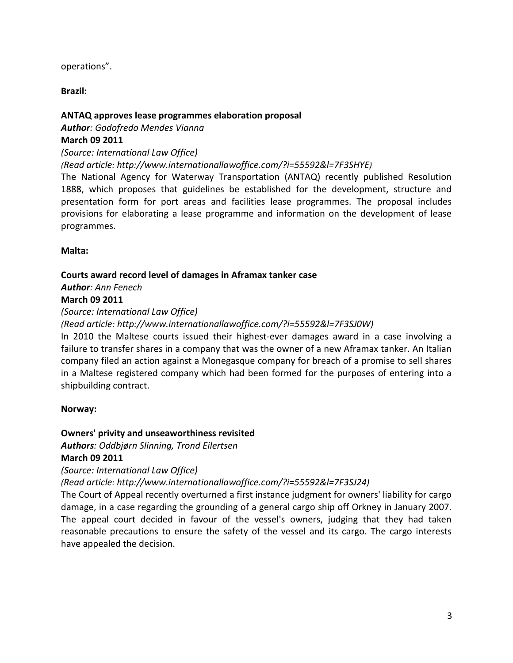operations".

**Brazil:**

# **[ANTAQ approves lease programmes elaboration proposal](http://www.internationallawoffice.com/?i=55592&l=7F3SHYE)**

*Author: [Godofredo Mendes Vianna](http://www.internationallawoffice.com/?i=55592&l=7F3SHZ1)* **March 09 2011**

*(Source: International Law Office)* 

*[\(Read article:](http://www.internationallawoffice.com/?i=55592&l=7F3SHYE) [http://www.internationallawoffice.com/?i=55592&l=7F3SHYE\)](http://www.internationallawoffice.com/?i=55592&l=7F3SHYE)*

The National Agency for Waterway Transportation (ANTAQ) recently published Resolution 1888, which proposes that guidelines be established for the development, structure and presentation form for port areas and facilities lease programmes. The proposal includes provisions for elaborating a lease programme and information on the development of lease programmes.

**Malta:**

# **[Courts award record level of damages in Aframax tanker case](http://www.internationallawoffice.com/?i=55592&l=7F3SJ0W)**

*Author: [Ann Fenech](http://www.internationallawoffice.com/?i=55592&l=7F3SJ1H)* **March 09 2011**

*(Source: International Law Office)* 

*[\(Read article:](http://www.internationallawoffice.com/?i=55592&l=7F3SJ0W) [http://www.internationallawoffice.com/?i=55592&l=7F3SJ0W\)](http://www.internationallawoffice.com/?i=55592&l=7F3SJ0W)*

In 2010 the Maltese courts issued their highest-ever damages award in a case involving a failure to transfer shares in a company that was the owner of a new Aframax tanker. An Italian company filed an action against a Monegasque company for breach of a promise to sell shares in a Maltese registered company which had been formed for the purposes of entering into a shipbuilding contract.

# **Norway:**

# **[Owners' privity and unseaworthiness revisited](http://www.internationallawoffice.com/?i=55592&l=7F3SJ24)**

*Authors: [Oddbjørn Slinning,](http://www.internationallawoffice.com/?i=55592&l=7F3SJ2N) [Trond Eilertsen](http://www.internationallawoffice.com/?i=55592&l=7F3SJ36)*

**March 09 2011**

*(Source: International Law Office)* 

*[\(Read article:](http://www.internationallawoffice.com/?i=55592&l=7F3SJ24) [http://www.internationallawoffice.com/?i=55592&l=7F3SJ24\)](http://www.internationallawoffice.com/?i=55592&l=7F3SJ24)*

The Court of Appeal recently overturned a first instance judgment for owners' liability for cargo damage, in a case regarding the grounding of a general cargo ship off Orkney in January 2007. The appeal court decided in favour of the vessel's owners, judging that they had taken reasonable precautions to ensure the safety of the vessel and its cargo. The cargo interests have appealed the decision.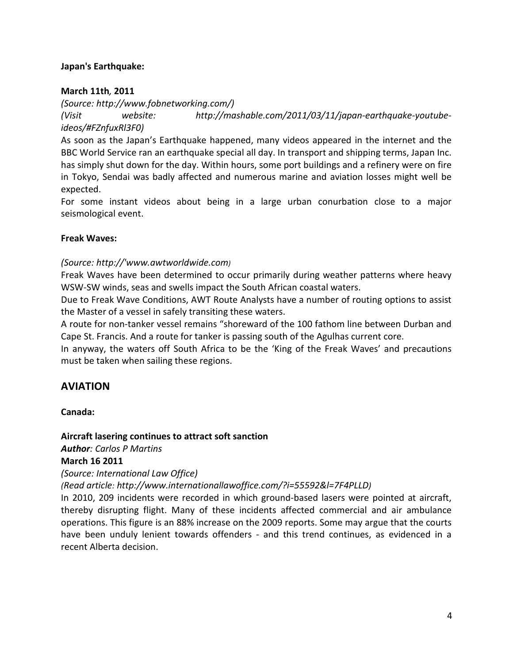## **Japan's Earthquake:**

## **March 11th***,* **2011**

*(Source: [http://www.fobnetworking.com/\)](http://www.fobnetworking.com/) (Visit website: [http://mashable.com/2011/03/11/japan-earthquake-youtube](http://mashable.com/2011/03/11/japan-earthquake-youtube-ideos/#FZnfuxRl3F0)[ideos/#FZnfuxRl3F0\)](http://mashable.com/2011/03/11/japan-earthquake-youtube-ideos/#FZnfuxRl3F0)* 

As soon as the Japan's Earthquake happened, many videos appeared in the internet and the BBC World Service ran an earthquake special all day. In transport and shipping terms, Japan Inc. has simply shut down for the day. Within hours, some port buildings and a refinery were on fire in Tokyo, Sendai was badly affected and numerous marine and aviation losses might well be expected.

For some instant videos about being in a large urban conurbation close to a major seismological event.

#### **Freak Waves:**

# *(Source: http://'www.awtworldwide.com)*

Freak Waves have been determined to occur primarily during weather patterns where heavy WSW-SW winds, seas and swells impact the South African coastal waters.

Due to Freak Wave Conditions, AWT Route Analysts have a number of routing options to assist the Master of a vessel in safely transiting these waters.

A route for non-tanker vessel remains "shoreward of the 100 fathom line between Durban and Cape St. Francis. And a route for tanker is passing south of the Agulhas current core.

In anyway, the waters off South Africa to be the 'King of the Freak Waves' and precautions must be taken when sailing these regions.

# **AVIATION**

**Canada:**

# **[Aircraft lasering continues to attract soft sanction](http://www.internationallawoffice.com/?i=55592&l=7F4PLLD)**

*Author: [Carlos P Martins](http://www.internationallawoffice.com/?i=55592&l=7F4PLLR)*

#### **March 16 2011**

*(Source: International Law Office)* 

*[\(Read article:](http://www.internationallawoffice.com/?i=55592&l=7F4PLLD) [http://www.internationallawoffice.com/?i=55592&l=7F4PLLD\)](http://www.internationallawoffice.com/?i=55592&l=7F4PLLD)*

In 2010, 209 incidents were recorded in which ground-based lasers were pointed at aircraft, thereby disrupting flight. Many of these incidents affected commercial and air ambulance operations. This figure is an 88% increase on the 2009 reports. Some may argue that the courts have been unduly lenient towards offenders - and this trend continues, as evidenced in a recent Alberta decision.